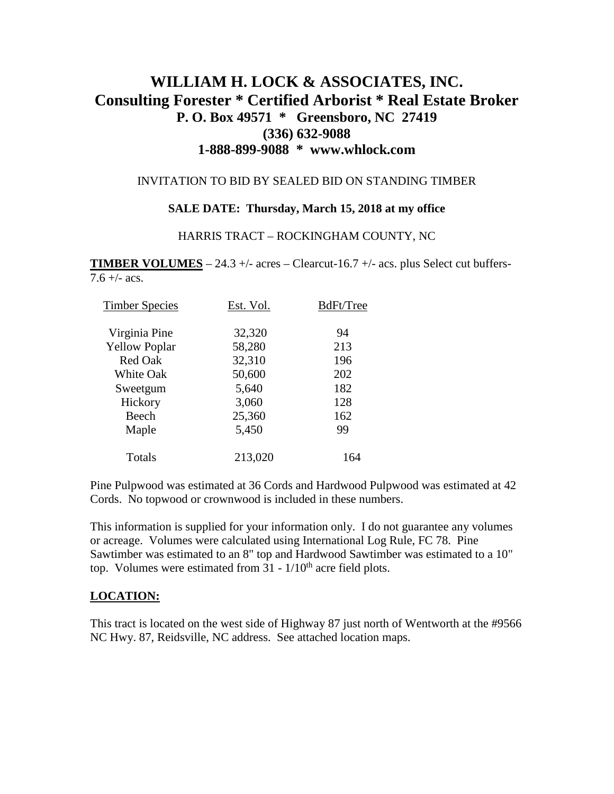# **WILLIAM H. LOCK & ASSOCIATES, INC. Consulting Forester \* Certified Arborist \* Real Estate Broker P. O. Box 49571 \* Greensboro, NC 27419 (336) 632-9088 1-888-899-9088 \* www.whlock.com**

#### INVITATION TO BID BY SEALED BID ON STANDING TIMBER

#### **SALE DATE: Thursday, March 15, 2018 at my office**

#### HARRIS TRACT – ROCKINGHAM COUNTY, NC

**TIMBER VOLUMES** – 24.3 +/- acres – Clearcut-16.7 +/- acs. plus Select cut buffers- $7.6 +/-$  acs.

| <b>Timber Species</b> | Est. Vol. | BdFt/Tree |
|-----------------------|-----------|-----------|
| Virginia Pine         | 32,320    | 94        |
| <b>Yellow Poplar</b>  | 58,280    | 213       |
| <b>Red Oak</b>        | 32,310    | 196       |
| White Oak             | 50,600    | 202       |
| Sweetgum              | 5,640     | 182       |
| Hickory               | 3,060     | 128       |
| Beech                 | 25,360    | 162       |
| Maple                 | 5,450     | 99        |
| Totals                | 213,020   | 164       |

Pine Pulpwood was estimated at 36 Cords and Hardwood Pulpwood was estimated at 42 Cords. No topwood or crownwood is included in these numbers.

This information is supplied for your information only. I do not guarantee any volumes or acreage. Volumes were calculated using International Log Rule, FC 78. Pine Sawtimber was estimated to an 8" top and Hardwood Sawtimber was estimated to a 10" top. Volumes were estimated from  $31 - 1/10<sup>th</sup>$  acre field plots.

### **LOCATION:**

This tract is located on the west side of Highway 87 just north of Wentworth at the #9566 NC Hwy. 87, Reidsville, NC address. See attached location maps.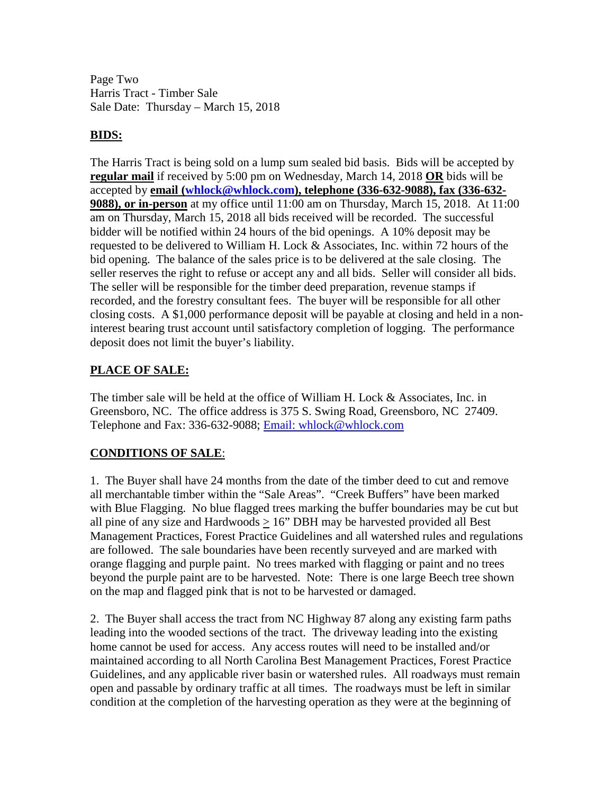Page Two Harris Tract - Timber Sale Sale Date: Thursday – March 15, 2018

### **BIDS:**

The Harris Tract is being sold on a lump sum sealed bid basis. Bids will be accepted by **regular mail** if received by 5:00 pm on Wednesday, March 14, 2018 **OR** bids will be accepted by **email [\(whlock@whlock.com\)](mailto:whlock@whlock.com), telephone (336-632-9088), fax (336-632- 9088), or in-person** at my office until 11:00 am on Thursday, March 15, 2018. At 11:00 am on Thursday, March 15, 2018 all bids received will be recorded. The successful bidder will be notified within 24 hours of the bid openings. A 10% deposit may be requested to be delivered to William H. Lock & Associates, Inc. within 72 hours of the bid opening. The balance of the sales price is to be delivered at the sale closing. The seller reserves the right to refuse or accept any and all bids. Seller will consider all bids. The seller will be responsible for the timber deed preparation, revenue stamps if recorded, and the forestry consultant fees. The buyer will be responsible for all other closing costs. A \$1,000 performance deposit will be payable at closing and held in a noninterest bearing trust account until satisfactory completion of logging. The performance deposit does not limit the buyer's liability.

### **PLACE OF SALE:**

The timber sale will be held at the office of William H. Lock & Associates, Inc. in Greensboro, NC. The office address is 375 S. Swing Road, Greensboro, NC 27409. Telephone and Fax: 336-632-9088; [Email: whlock@whlock.com](mailto:Email:%20whlock@whlock.com) 

## **CONDITIONS OF SALE**:

1. The Buyer shall have 24 months from the date of the timber deed to cut and remove all merchantable timber within the "Sale Areas". "Creek Buffers" have been marked with Blue Flagging. No blue flagged trees marking the buffer boundaries may be cut but all pine of any size and Hardwoods  $> 16$ " DBH may be harvested provided all Best Management Practices, Forest Practice Guidelines and all watershed rules and regulations are followed. The sale boundaries have been recently surveyed and are marked with orange flagging and purple paint. No trees marked with flagging or paint and no trees beyond the purple paint are to be harvested. Note: There is one large Beech tree shown on the map and flagged pink that is not to be harvested or damaged.

2. The Buyer shall access the tract from NC Highway 87 along any existing farm paths leading into the wooded sections of the tract. The driveway leading into the existing home cannot be used for access. Any access routes will need to be installed and/or maintained according to all North Carolina Best Management Practices, Forest Practice Guidelines, and any applicable river basin or watershed rules. All roadways must remain open and passable by ordinary traffic at all times. The roadways must be left in similar condition at the completion of the harvesting operation as they were at the beginning of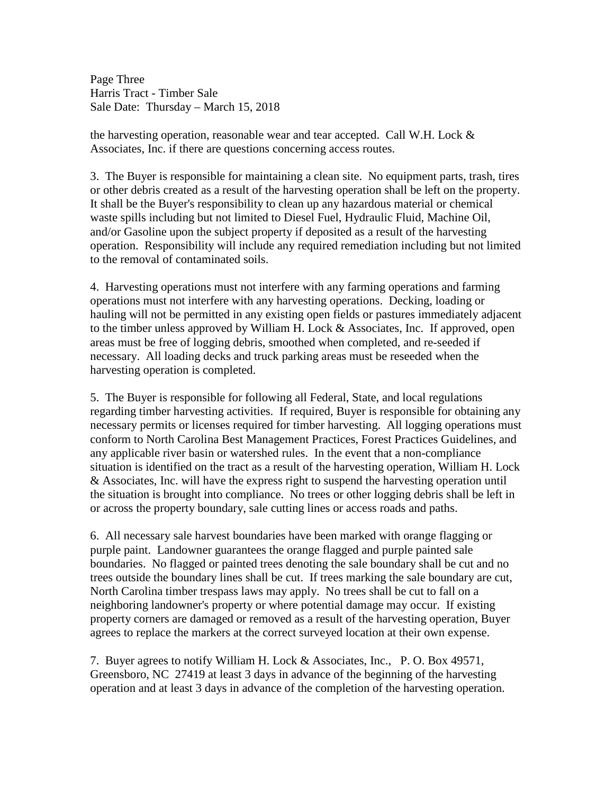Page Three Harris Tract - Timber Sale Sale Date: Thursday – March 15, 2018

the harvesting operation, reasonable wear and tear accepted. Call W.H. Lock  $\&$ Associates, Inc. if there are questions concerning access routes.

3. The Buyer is responsible for maintaining a clean site. No equipment parts, trash, tires or other debris created as a result of the harvesting operation shall be left on the property. It shall be the Buyer's responsibility to clean up any hazardous material or chemical waste spills including but not limited to Diesel Fuel, Hydraulic Fluid, Machine Oil, and/or Gasoline upon the subject property if deposited as a result of the harvesting operation. Responsibility will include any required remediation including but not limited to the removal of contaminated soils.

4. Harvesting operations must not interfere with any farming operations and farming operations must not interfere with any harvesting operations. Decking, loading or hauling will not be permitted in any existing open fields or pastures immediately adjacent to the timber unless approved by William H. Lock & Associates, Inc. If approved, open areas must be free of logging debris, smoothed when completed, and re-seeded if necessary. All loading decks and truck parking areas must be reseeded when the harvesting operation is completed.

5. The Buyer is responsible for following all Federal, State, and local regulations regarding timber harvesting activities. If required, Buyer is responsible for obtaining any necessary permits or licenses required for timber harvesting. All logging operations must conform to North Carolina Best Management Practices, Forest Practices Guidelines, and any applicable river basin or watershed rules. In the event that a non-compliance situation is identified on the tract as a result of the harvesting operation, William H. Lock & Associates, Inc. will have the express right to suspend the harvesting operation until the situation is brought into compliance. No trees or other logging debris shall be left in or across the property boundary, sale cutting lines or access roads and paths.

6. All necessary sale harvest boundaries have been marked with orange flagging or purple paint. Landowner guarantees the orange flagged and purple painted sale boundaries. No flagged or painted trees denoting the sale boundary shall be cut and no trees outside the boundary lines shall be cut. If trees marking the sale boundary are cut, North Carolina timber trespass laws may apply. No trees shall be cut to fall on a neighboring landowner's property or where potential damage may occur. If existing property corners are damaged or removed as a result of the harvesting operation, Buyer agrees to replace the markers at the correct surveyed location at their own expense.

7. Buyer agrees to notify William H. Lock & Associates, Inc., P. O. Box 49571, Greensboro, NC 27419 at least 3 days in advance of the beginning of the harvesting operation and at least 3 days in advance of the completion of the harvesting operation.